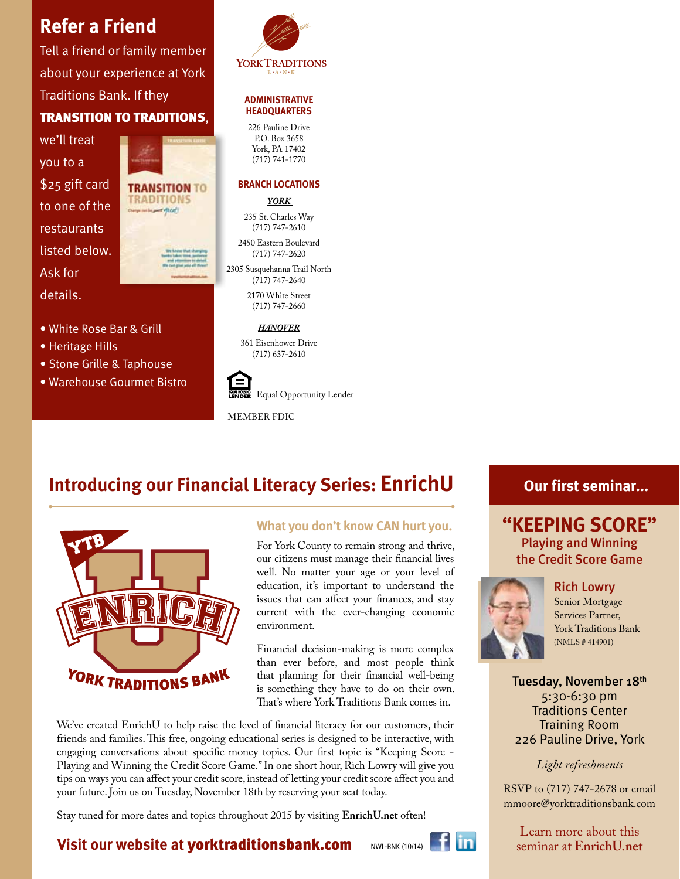# **Refer a Friend**

Tell a friend or family member about your experience at York Traditions Bank. If they TRANSITION TO TRADITIONS,

we'll treat you to a \$25 gift card to one of the restaurants listed below. Ask for details.

• White Rose Bar & Grill

• Stone Grille & Taphouse • Warehouse Gourmet Bistro

• Heritage Hills



**HEADQUARTERS** 226 Pauline Drive P.O. Box 3658 York, PA 17402 (717) 741-1770

**ADMINISTRATIVE**

**YORKTRADITIONS** 

#### **BRANCH LOCATIONS**

*YORK* 

235 St. Charles Way (717) 747-2610

2450 Eastern Boulevard (717) 747-2620

2305 Susquehanna Trail North (717) 747-2640

> 2170 White Street (717) 747-2660

#### *HANOVER*

361 Eisenhower Drive (717) 637-2610



Equal Opportunity Lender

member fdic

# **Introducing our Financial Literacy Series: EnrichU**



### **What you don't know CAN hurt you.**

For York County to remain strong and thrive, our citizens must manage their financial lives well. No matter your age or your level of education, it's important to understand the issues that can affect your finances, and stay current with the ever-changing economic environment.

Financial decision-making is more complex than ever before, and most people think that planning for their financial well-being is something they have to do on their own. That's where York Traditions Bank comes in.

We've created EnrichU to help raise the level of financial literacy for our customers, their friends and families. This free, ongoing educational series is designed to be interactive, with engaging conversations about specific money topics. Our first topic is "Keeping Score - Playing and Winning the Credit Score Game." In one short hour, Rich Lowry will give you tips on ways you can affect your credit score, instead of letting your credit score affect you and your future. Join us on Tuesday, November 18th by reserving your seat today.

Stay tuned for more dates and topics throughout 2015 by visiting **EnrichU.net** often!

# **Our first seminar...**

# **"KEEPING SCORE"**  Playing and Winning the Credit Score Game

Rich Lowry



Senior Mortgage Services Partner, York Traditions Bank (NMLS # 414901)

Tuesday, November 18th 5:30-6:30 pm Traditions Center Training Room 226 Pauline Drive, York

*Light refreshments*

RSVP to (717) 747-2678 or email mmoore@yorktraditionsbank.com

Learn more about this seminar at **EnrichU.net**

# **Visit our website at** yorktraditionsbank.com

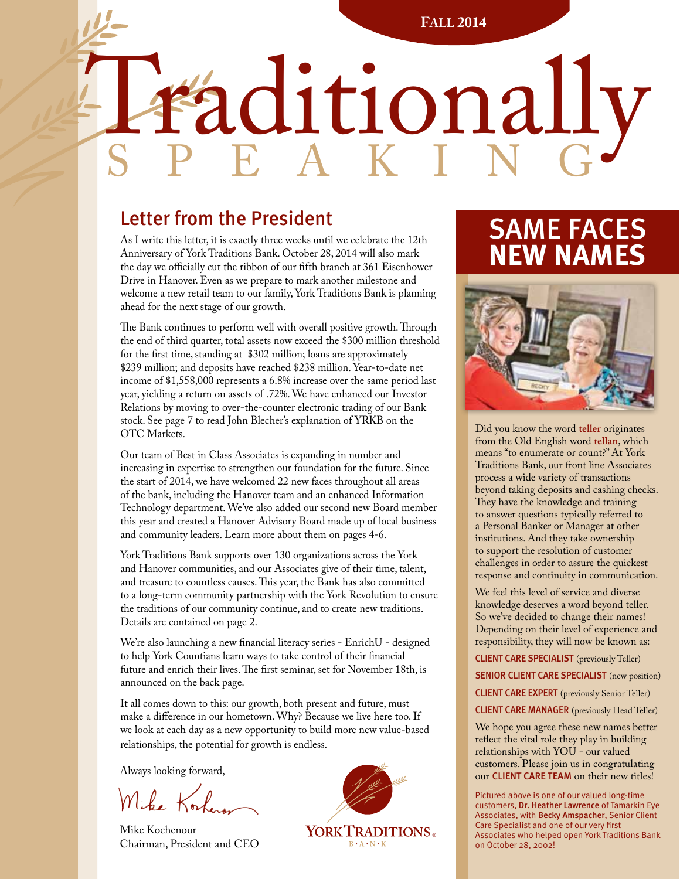**Fall 2014**

# Paditionally

# Letter from the President

As I write this letter, it is exactly three weeks until we celebrate the 12th Anniversary of York Traditions Bank. October 28, 2014 will also mark the day we officially cut the ribbon of our fifth branch at 361 Eisenhower Drive in Hanover. Even as we prepare to mark another milestone and welcome a new retail team to our family, York Traditions Bank is planning ahead for the next stage of our growth.

The Bank continues to perform well with overall positive growth. Through the end of third quarter, total assets now exceed the \$300 million threshold for the first time, standing at \$302 million; loans are approximately \$239 million; and deposits have reached \$238 million. Year-to-date net income of \$1,558,000 represents a 6.8% increase over the same period last year, yielding a return on assets of .72%. We have enhanced our Investor Relations by moving to over-the-counter electronic trading of our Bank stock. See page 7 to read John Blecher's explanation of YRKB on the OTC Markets.

Our team of Best in Class Associates is expanding in number and increasing in expertise to strengthen our foundation for the future. Since the start of 2014, we have welcomed 22 new faces throughout all areas of the bank, including the Hanover team and an enhanced Information Technology department. We've also added our second new Board member this year and created a Hanover Advisory Board made up of local business and community leaders. Learn more about them on pages 4-6.

York Traditions Bank supports over 130 organizations across the York and Hanover communities, and our Associates give of their time, talent, and treasure to countless causes. This year, the Bank has also committed to a long-term community partnership with the York Revolution to ensure the traditions of our community continue, and to create new traditions. Details are contained on page 2.

We're also launching a new financial literacy series - EnrichU - designed to help York Countians learn ways to take control of their financial future and enrich their lives. The first seminar, set for November 18th, is announced on the back page.

It all comes down to this: our growth, both present and future, must make a difference in our hometown. Why? Because we live here too. If we look at each day as a new opportunity to build more new value-based relationships, the potential for growth is endless.

Always looking forward,

Mike Kor

Mike Kochenour Mike Kochenour **Example 19 YORK TRADITIONS** Chairman, President and CEO



# SAME FACES **NEW NAMES**



Did you know the word **teller** originates from the Old English word **tellan**, which means "to enumerate or count?" At York Traditions Bank, our front line Associates process a wide variety of transactions beyond taking deposits and cashing checks. They have the knowledge and training to answer questions typically referred to a Personal Banker or Manager at other institutions. And they take ownership to support the resolution of customer challenges in order to assure the quickest response and continuity in communication.

We feel this level of service and diverse knowledge deserves a word beyond teller. So we've decided to change their names! Depending on their level of experience and responsibility, they will now be known as:

CLIENT CARE SPECIALIST (previously Teller) SENIOR CLIENT CARE SPECIALIST (new position) CLIENT CARE EXPERT (previously Senior Teller) CLIENT CARE MANAGER (previously Head Teller)

We hope you agree these new names better reflect the vital role they play in building relationships with YOU - our valued customers. Please join us in congratulating our CLIENT CARE TEAM on their new titles!

Pictured above is one of our valued long-time customers, Dr. Heather Lawrence of Tamarkin Eye Associates, with Becky Amspacher, Senior Client Care Specialist and one of our very first Associates who helped open York Traditions Bank on October 28, 2002!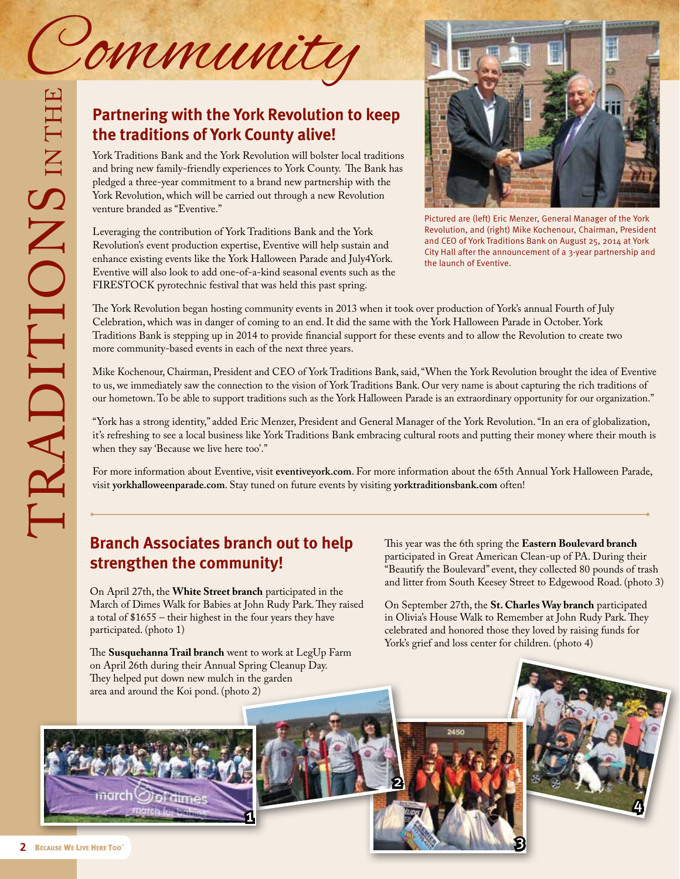

# **Partnering with the York Revolution to keep the traditions of York County alive!**

York Traditions Bank and the York Revolution will bolster local traditions and bring new family-friendly experiences to York County. The Bank has pledged a three-year commitment to a brand new partnership with the York Revolution, which will be carried out through a new Revolution venture branded as "Eventive."

Leveraging the contribution of York Traditions Bank and the York Revolution's event production expertise, Eventive will help sustain and enhance existing events like the York Halloween Parade and July4York. Eventive will also look to add one-of-a-kind seasonal events such as the FIRESTOCK pyrotechnic festival that was held this past spring.



Pictured are (left) Eric Menzer, General Manager of the York Revolution, and (right) Mike Kochenour, Chairman, President and CEO of York Traditions Bank on August 25, 2014 at York City Hall after the announcement of a 3-year partnership and the launch of Eventive.

The York Revolution began hosting community events in 2013 when it took over production of York's annual Fourth of July Celebration, which was in danger of coming to an end. It did the same with the York Halloween Parade in October. York Traditions Bank is stepping up in 2014 to provide financial support for these events and to allow the Revolution to create two more community-based events in each of the next three years.

Mike Kochenour, Chairman, President and CEO of York Traditions Bank, said, "When the York Revolution brought the idea of Eventive to us, we immediately saw the connection to the vision of York Traditions Bank. Our very name is about capturing the rich traditions of our hometown. To be able to support traditions such as the York Halloween Parade is an extraordinary opportunity for our organization."

"York has a strong identity," added Eric Menzer, President and General Manager of the York Revolution. "In an era of globalization, it's refreshing to see a local business like York Traditions Bank embracing cultural roots and putting their money where their mouth is when they say 'Because we live here too'."

For more information about Eventive, visit **eventiveyork.com**. For more information about the 65th Annual York Halloween Parade, visit **yorkhalloweenparade.com**. Stay tuned on future events by visiting **yorktraditionsbank.com** often!

2

# **Branch Associates branch out to help strengthen the community!**

On April 27th, the **White Street branch** participated in the March of Dimes Walk for Babies at John Rudy Park. They raised a total of \$1655 – their highest in the four years they have participated. (photo 1)

participated in Great American Clean-up of PA. During their "Beautify the Boulevard" event, they collected 80 pounds of trash and litter from South Keesey Street to Edgewood Road. (photo 3)

This year was the 6th spring the **Eastern Boulevard branch**

On September 27th, the **St. Charles Way branch** participated in Olivia's House Walk to Remember at John Rudy Park. They celebrated and honored those they loved by raising funds for York's grief and loss center for children. (photo 4)

The **Susquehanna Trail branch** went to work at LegUp Farm on April 26th during their Annual Spring Cleanup Day. They helped put down new mulch in the garden area and around the Koi pond. (photo 2)



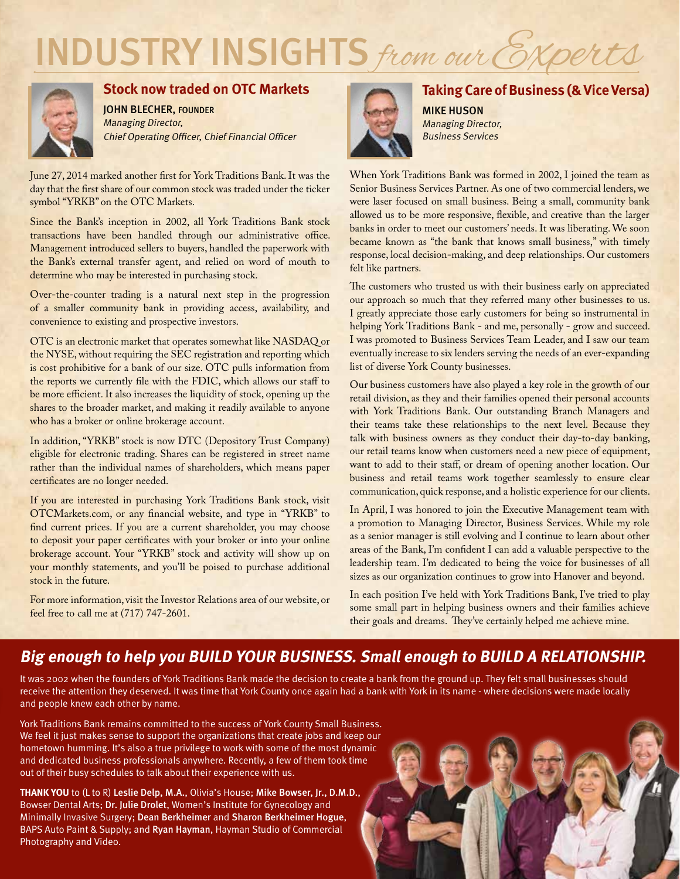# INDUSTRY INSIGHTS from our Experts



### **Stock now traded on OTC Markets**

john blecher, FOUNDER Managing Director, Chief Operating Officer, Chief Financial Officer

June 27, 2014 marked another first for York Traditions Bank. It was the day that the first share of our common stock was traded under the ticker symbol "YRKB" on the OTC Markets.

Since the Bank's inception in 2002, all York Traditions Bank stock transactions have been handled through our administrative office. Management introduced sellers to buyers, handled the paperwork with the Bank's external transfer agent, and relied on word of mouth to determine who may be interested in purchasing stock.

Over-the-counter trading is a natural next step in the progression of a smaller community bank in providing access, availability, and convenience to existing and prospective investors.

OTC is an electronic market that operates somewhat like NASDAQ or the NYSE, without requiring the SEC registration and reporting which is cost prohibitive for a bank of our size. OTC pulls information from the reports we currently file with the FDIC, which allows our staff to be more efficient. It also increases the liquidity of stock, opening up the shares to the broader market, and making it readily available to anyone who has a broker or online brokerage account.

In addition, "YRKB" stock is now DTC (Depository Trust Company) eligible for electronic trading. Shares can be registered in street name rather than the individual names of shareholders, which means paper certificates are no longer needed.

If you are interested in purchasing York Traditions Bank stock, visit OTCMarkets.com, or any financial website, and type in "YRKB" to find current prices. If you are a current shareholder, you may choose to deposit your paper certificates with your broker or into your online brokerage account. Your "YRKB" stock and activity will show up on your monthly statements, and you'll be poised to purchase additional stock in the future.

For more information, visit the Investor Relations area of our website, or feel free to call me at (717) 747-2601.



# **Taking Care of Business (& Vice Versa)**

MIKE HUSON Managing Director, Business Services

When York Traditions Bank was formed in 2002, I joined the team as Senior Business Services Partner. As one of two commercial lenders, we were laser focused on small business. Being a small, community bank allowed us to be more responsive, flexible, and creative than the larger banks in order to meet our customers' needs. It was liberating. We soon became known as "the bank that knows small business," with timely response, local decision-making, and deep relationships. Our customers felt like partners.

The customers who trusted us with their business early on appreciated our approach so much that they referred many other businesses to us. I greatly appreciate those early customers for being so instrumental in helping York Traditions Bank - and me, personally - grow and succeed. I was promoted to Business Services Team Leader, and I saw our team eventually increase to six lenders serving the needs of an ever-expanding list of diverse York County businesses.

Our business customers have also played a key role in the growth of our retail division, as they and their families opened their personal accounts with York Traditions Bank. Our outstanding Branch Managers and their teams take these relationships to the next level. Because they talk with business owners as they conduct their day-to-day banking, our retail teams know when customers need a new piece of equipment, want to add to their staff, or dream of opening another location. Our business and retail teams work together seamlessly to ensure clear communication, quick response, and a holistic experience for our clients.

In April, I was honored to join the Executive Management team with a promotion to Managing Director, Business Services. While my role as a senior manager is still evolving and I continue to learn about other areas of the Bank, I'm confident I can add a valuable perspective to the leadership team. I'm dedicated to being the voice for businesses of all sizes as our organization continues to grow into Hanover and beyond.

In each position I've held with York Traditions Bank, I've tried to play some small part in helping business owners and their families achieve their goals and dreams. They've certainly helped me achieve mine.

# **Big enough to help you BUILD YOUR BUSINESS. Small enough to BUILD A RELATIONSHIP.**

It was 2002 when the founders of York Traditions Bank made the decision to create a bank from the ground up. They felt small businesses should receive the attention they deserved. It was time that York County once again had a bank with York in its name - where decisions were made locally and people knew each other by name.

York Traditions Bank remains committed to the success of York County Small Business. We feel it just makes sense to support the organizations that create jobs and keep our hometown humming. It's also a true privilege to work with some of the most dynamic and dedicated business professionals anywhere. Recently, a few of them took time out of their busy schedules to talk about their experience with us.

**THANK YOU** to (L to R) Leslie Delp, M.A., Olivia's House; Mike Bowser, Jr., D.M.D., Bowser Dental Arts; Dr. Julie Drolet, Women's Institute for Gynecology and Minimally Invasive Surgery; Dean Berkheimer and Sharon Berkheimer Hogue, BAPS Auto Paint & Supply; and Ryan Hayman, Hayman Studio of Commercial Photography and Video.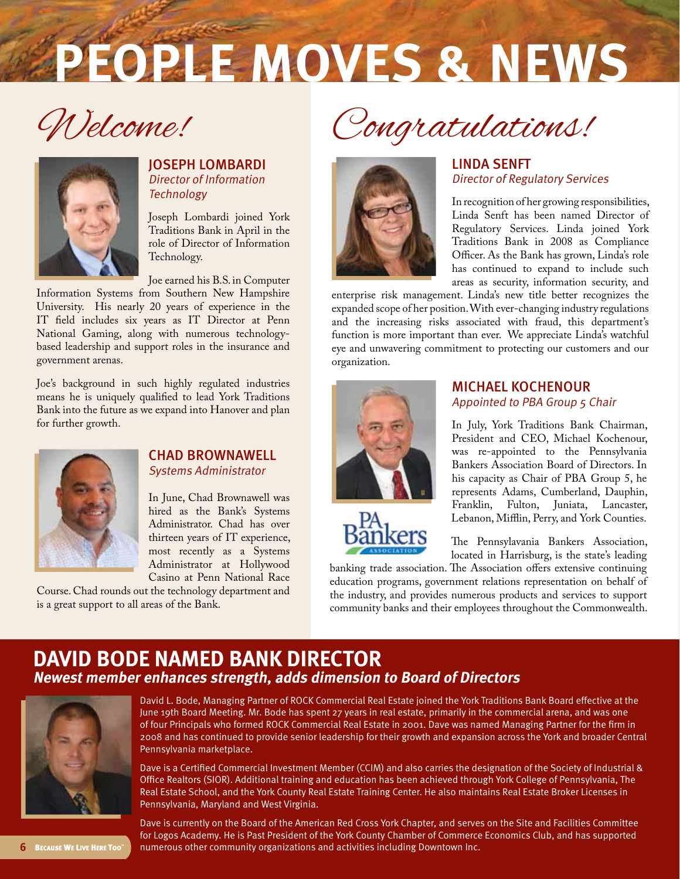# **PEOPLE MOVES & NEWS**

Welcome!



#### JoSEPH lombardi Director of Information **Technology**

Joseph Lombardi joined York Traditions Bank in April in the role of Director of Information Technology.

Joe earned his B.S. in Computer

Information Systems from Southern New Hampshire University. His nearly 20 years of experience in the IT field includes six years as IT Director at Penn National Gaming, along with numerous technologybased leadership and support roles in the insurance and government arenas.

Joe's background in such highly regulated industries means he is uniquely qualified to lead York Traditions Bank into the future as we expand into Hanover and plan for further growth.



#### CHAD BROWNAWELL Systems Administrator

In June, Chad Brownawell was hired as the Bank's Systems Administrator. Chad has over thirteen years of IT experience, most recently as a Systems Administrator at Hollywood Casino at Penn National Race

Course. Chad rounds out the technology department and is a great support to all areas of the Bank.

Congratulations!



#### LINDA SENFT Director of Regulatory Services

In recognition of her growing responsibilities, Linda Senft has been named Director of Regulatory Services. Linda joined York Traditions Bank in 2008 as Compliance Officer. As the Bank has grown, Linda's role has continued to expand to include such areas as security, information security, and

enterprise risk management. Linda's new title better recognizes the expanded scope of her position. With ever-changing industry regulations and the increasing risks associated with fraud, this department's function is more important than ever. We appreciate Linda's watchful eye and unwavering commitment to protecting our customers and our organization.



# MiCHAEL kochenour Appointed to PBA Group 5 Chair

In July, York Traditions Bank Chairman, President and CEO, Michael Kochenour, was re-appointed to the Pennsylvania Bankers Association Board of Directors. In his capacity as Chair of PBA Group 5, he represents Adams, Cumberland, Dauphin, Franklin, Fulton, Juniata, Lancaster, Lebanon, Mifflin, Perry, and York Counties.



The Pennsylavania Bankers Association, located in Harrisburg, is the state's leading

banking trade association. The Association offers extensive continuing education programs, government relations representation on behalf of the industry, and provides numerous products and services to support community banks and their employees throughout the Commonwealth.

# **DAVID BODE named bank DIRECTOR Newest member enhances strength, adds dimension to Board of Directors**



David L. Bode, Managing Partner of ROCK Commercial Real Estate joined the York Traditions Bank Board effective at the June 19th Board Meeting. Mr. Bode has spent 27 years in real estate, primarily in the commercial arena, and was one of four Principals who formed ROCK Commercial Real Estate in 2001. Dave was named Managing Partner for the firm in 2008 and has continued to provide senior leadership for their growth and expansion across the York and broader Central Pennsylvania marketplace.

Dave is a Certified Commercial Investment Member (CCIM) and also carries the designation of the Society of Industrial & Office Realtors (SIOR). Additional training and education has been achieved through York College of Pennsylvania, The Real Estate School, and the York County Real Estate Training Center. He also maintains Real Estate Broker Licenses in Pennsylvania, Maryland and West Virginia.

Dave is currently on the Board of the American Red Cross York Chapter, and serves on the Site and Facilities Committee for Logos Academy. He is Past President of the York County Chamber of Commerce Economics Club, and has supported numerous other community organizations and activities including Downtown Inc.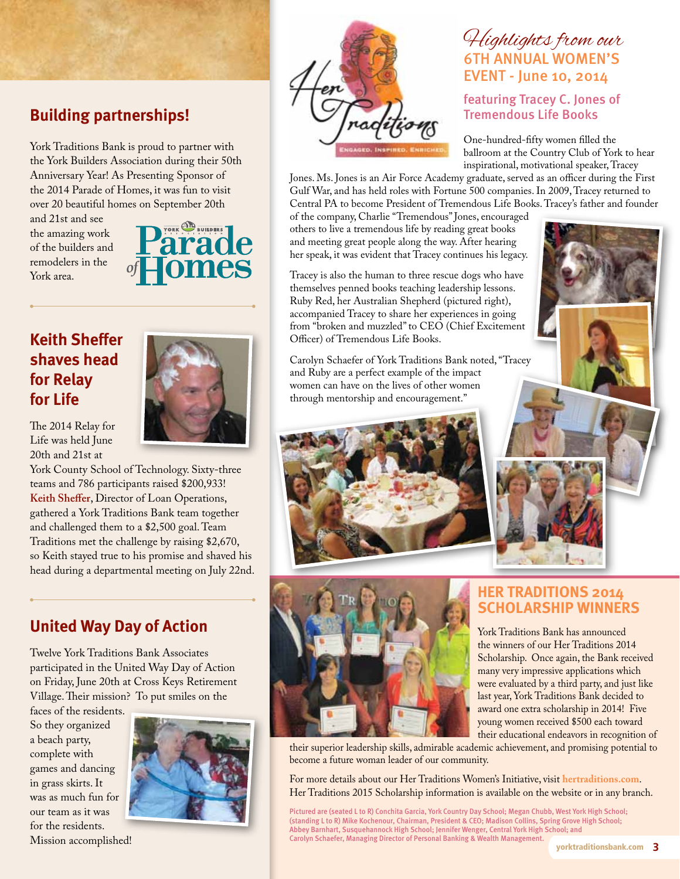# **Building partnerships!**

York Traditions Bank is proud to partner with the York Builders Association during their 50th Anniversary Year! As Presenting Sponsor of the 2014 Parade of Homes, it was fun to visit over 20 beautiful homes on September 20th

and 21st and see the amazing work of the builders and remodelers in the York area.



# **Keith Sheffer shaves head for Relay for Life**

The 2014 Relay for Life was held June 20th and 21st at



York County School of Technology. Sixty-three teams and 786 participants raised \$200,933! **Keith Sheffer**, Director of Loan Operations, gathered a York Traditions Bank team together and challenged them to a \$2,500 goal. Team Traditions met the challenge by raising \$2,670, so Keith stayed true to his promise and shaved his head during a departmental meeting on July 22nd.

# **United Way Day of Action**

Twelve York Traditions Bank Associates participated in the United Way Day of Action on Friday, June 20th at Cross Keys Retirement Village. Their mission? To put smiles on the

faces of the residents. So they organized a beach party, complete with games and dancing in grass skirts. It was as much fun for our team as it was for the residents. Mission accomplished!





# Highlights from our 6th ANNUAL WOMEN'S EVENT - June 10, 2014

## featuring Tracey C. Jones of Tremendous Life Books

One-hundred-fifty women filled the ballroom at the Country Club of York to hear inspirational, motivational speaker, Tracey

Jones. Ms. Jones is an Air Force Academy graduate, served as an officer during the First Gulf War, and has held roles with Fortune 500 companies. In 2009, Tracey returned to Central PA to become President of Tremendous Life Books. Tracey's father and founder

of the company, Charlie "Tremendous" Jones, encouraged others to live a tremendous life by reading great books and meeting great people along the way. After hearing her speak, it was evident that Tracey continues his legacy.

Tracey is also the human to three rescue dogs who have themselves penned books teaching leadership lessons. Ruby Red, her Australian Shepherd (pictured right), accompanied Tracey to share her experiences in going from "broken and muzzled" to CEO (Chief Excitement Officer) of Tremendous Life Books.

Carolyn Schaefer of York Traditions Bank noted, "Tracey and Ruby are a perfect example of the impact women can have on the lives of other women through mentorship and encouragement."





## **Her traditions 2014 scholarship winners**

York Traditions Bank has announced the winners of our Her Traditions 2014 Scholarship. Once again, the Bank received many very impressive applications which were evaluated by a third party, and just like last year, York Traditions Bank decided to award one extra scholarship in 2014! Five young women received \$500 each toward their educational endeavors in recognition of

their superior leadership skills, admirable academic achievement, and promising potential to become a future woman leader of our community.

For more details about our Her Traditions Women's Initiative, visit **hertraditions.com**. Her Traditions 2015 Scholarship information is available on the website or in any branch.

Pictured are (seated L to R) Conchita Garcia, York Country Day School; Megan Chubb, West York High School; (standing L to R) Mike Kochenour, Chairman, President & CEO; Madison Collins, Spring Grove High School; Abbey Barnhart, Susquehannock High School; Jennifer Wenger, Central York High School; and Carolyn Schaefer, Managing Director of Personal Banking & Wealth Management.

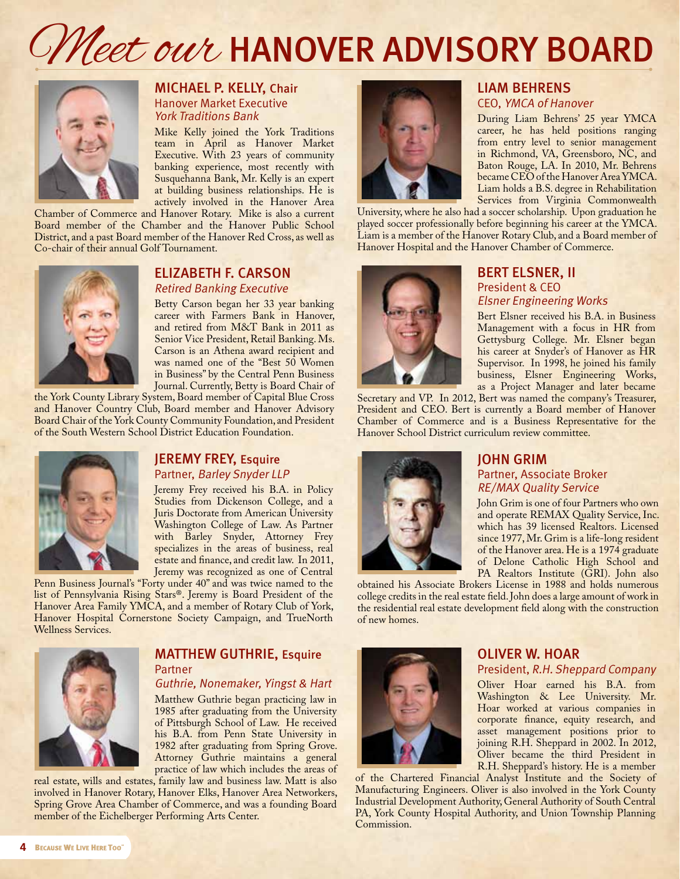# Offleet our HANOVER ADVISORY BOARD



#### MICHAEL P. KELLY, Chair Hanover Market Executive York Traditions Bank

Mike Kelly joined the York Traditions team in April as Hanover Market Executive. With 23 years of community banking experience, most recently with Susquehanna Bank, Mr. Kelly is an expert at building business relationships. He is actively involved in the Hanover Area

Chamber of Commerce and Hanover Rotary. Mike is also a current Board member of the Chamber and the Hanover Public School District, and a past Board member of the Hanover Red Cross, as well as Co-chair of their annual Golf Tournament.



#### ELIZABETH F. CARSON Retired Banking Executive

Betty Carson began her 33 year banking career with Farmers Bank in Hanover, and retired from M&T Bank in 2011 as Senior Vice President, Retail Banking. Ms. Carson is an Athena award recipient and was named one of the "Best 50 Women in Business" by the Central Penn Business Journal. Currently, Betty is Board Chair of

the York County Library System, Board member of Capital Blue Cross and Hanover Country Club, Board member and Hanover Advisory Board Chair of the York County Community Foundation, and President of the South Western School District Education Foundation.



#### JEREMY FREY, Esquire Partner, Barley Snyder LLP

Jeremy Frey received his B.A. in Policy Studies from Dickenson College, and a Juris Doctorate from American University Washington College of Law. As Partner with Barley Snyder, Attorney Frey specializes in the areas of business, real estate and finance, and credit law. In 2011, Jeremy was recognized as one of Central

Penn Business Journal's "Forty under 40" and was twice named to the list of Pennsylvania Rising Stars®. Jeremy is Board President of the Hanover Area Family YMCA, and a member of Rotary Club of York, Hanover Hospital Cornerstone Society Campaign, and TrueNorth Wellness Services.



### MATTHEW GUTHRIE, Esquire **Partner**

#### Guthrie, Nonemaker, Yingst & Hart

Matthew Guthrie began practicing law in 1985 after graduating from the University of Pittsburgh School of Law. He received his B.A. from Penn State University in 1982 after graduating from Spring Grove. Attorney Guthrie maintains a general practice of law which includes the areas of

real estate, wills and estates, family law and business law. Matt is also involved in Hanover Rotary, Hanover Elks, Hanover Area Networkers, Spring Grove Area Chamber of Commerce, and was a founding Board member of the Eichelberger Performing Arts Center.



#### liAm behrens CEO, YMCA of Hanover

During Liam Behrens' 25 year YMCA career, he has held positions ranging from entry level to senior management in Richmond, VA, Greensboro, NC, and Baton Rouge, LA. In 2010, Mr. Behrens became CEO of the Hanover Area YMCA. Liam holds a B.S. degree in Rehabilitation Services from Virginia Commonwealth

University, where he also had a soccer scholarship. Upon graduation he played soccer professionally before beginning his career at the YMCA. Liam is a member of the Hanover Rotary Club, and a Board member of Hanover Hospital and the Hanover Chamber of Commerce.



#### bERT ELSNER, II President & CEO Elsner Engineering Works

Bert Elsner received his B.A. in Business Management with a focus in HR from Gettysburg College. Mr. Elsner began his career at Snyder's of Hanover as HR Supervisor. In 1998, he joined his family business, Elsner Engineering Works, as a Project Manager and later became

Secretary and VP. In 2012, Bert was named the company's Treasurer, President and CEO. Bert is currently a Board member of Hanover Chamber of Commerce and is a Business Representative for the Hanover School District curriculum review committee.



## JOHN GRIM Partner, Associate Broker RE/MAX Quality Service

John Grim is one of four Partners who own and operate REMAX Quality Service, Inc. which has 39 licensed Realtors. Licensed since 1977, Mr. Grim is a life-long resident of the Hanover area. He is a 1974 graduate of Delone Catholic High School and PA Realtors Institute (GRI). John also

obtained his Associate Brokers License in 1988 and holds numerous college credits in the real estate field. John does a large amount of work in the residential real estate development field along with the construction of new homes.



#### oliver W. hoar President, R.H. Sheppard Company

Oliver Hoar earned his B.A. from Washington & Lee University. Mr. Hoar worked at various companies in corporate finance, equity research, and asset management positions prior to joining R.H. Sheppard in 2002. In 2012, Oliver became the third President in R.H. Sheppard's history. He is a member

of the Chartered Financial Analyst Institute and the Society of Manufacturing Engineers. Oliver is also involved in the York County Industrial Development Authority, General Authority of South Central PA, York County Hospital Authority, and Union Township Planning Commission.